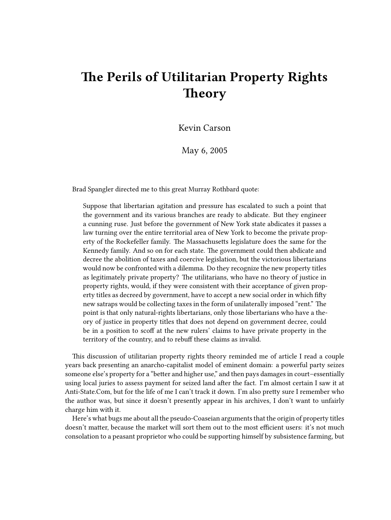## **The Perils of Utilitarian Property Rights Theory**

Kevin Carson

May 6, 2005

Brad Spangler directed me to this great Murray Rothbard quote:

Suppose that libertarian agitation and pressure has escalated to such a point that the government and its various branches are ready to abdicate. But they engineer a cunning ruse. Just before the government of New York state abdicates it passes a law turning over the entire territorial area of New York to become the private property of the Rockefeller family. The Massachusetts legislature does the same for the Kennedy family. And so on for each state. The government could then abdicate and decree the abolition of taxes and coercive legislation, but the victorious libertarians would now be confronted with a dilemma. Do they recognize the new property titles as legitimately private property? The utilitarians, who have no theory of justice in property rights, would, if they were consistent with their acceptance of given property titles as decreed by government, have to accept a new social order in which fifty new satraps would be collecting taxes in the form of unilaterally imposed "rent." The point is that only natural-rights libertarians, only those libertarians who have a theory of justice in property titles that does not depend on government decree, could be in a position to scoff at the new rulers' claims to have private property in the territory of the country, and to rebuff these claims as invalid.

This discussion of utilitarian property rights theory reminded me of article I read a couple years back presenting an anarcho-capitalist model of eminent domain: a powerful party seizes someone else's property for a "better and higher use," and then pays damages in court–essentially using local juries to assess payment for seized land after the fact. I'm almost certain I saw it at Anti-State.Com, but for the life of me I can't track it down. I'm also pretty sure I remember who the author was, but since it doesn't presently appear in his archives, I don't want to unfairly charge him with it.

Here's what bugs me about all the pseudo-Coaseian arguments that the origin of property titles doesn't matter, because the market will sort them out to the most efficient users: it's not much consolation to a peasant proprietor who could be supporting himself by subsistence farming, but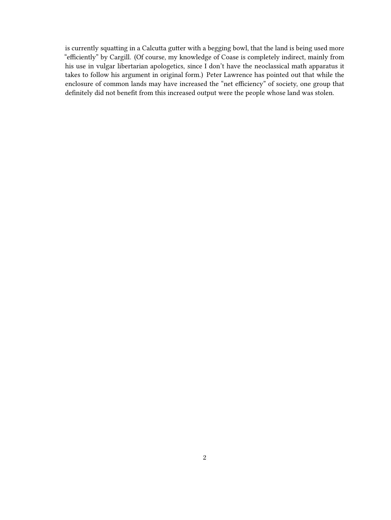is currently squatting in a Calcutta gutter with a begging bowl, that the land is being used more "efficiently" by Cargill. (Of course, my knowledge of Coase is completely indirect, mainly from his use in vulgar libertarian apologetics, since I don't have the neoclassical math apparatus it takes to follow his argument in original form.) Peter Lawrence has pointed out that while the enclosure of common lands may have increased the "net efficiency" of society, one group that definitely did not benefit from this increased output were the people whose land was stolen.